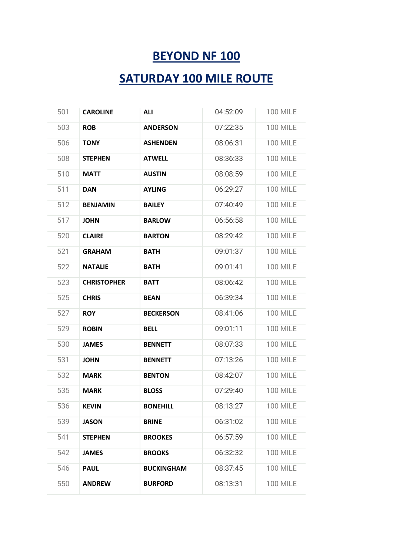## **BEYOND NF 100**

## **SATURDAY 100 MILE ROUTE**

| 501 | <b>CAROLINE</b>    | <b>ALI</b>        | 04:52:09 | <b>100 MILE</b> |
|-----|--------------------|-------------------|----------|-----------------|
| 503 | <b>ROB</b>         | <b>ANDERSON</b>   | 07:22:35 | <b>100 MILE</b> |
| 506 | <b>TONY</b>        | <b>ASHENDEN</b>   | 08:06:31 | <b>100 MILE</b> |
| 508 | <b>STEPHEN</b>     | <b>ATWELL</b>     | 08:36:33 | <b>100 MILE</b> |
| 510 | <b>MATT</b>        | <b>AUSTIN</b>     | 08:08:59 | <b>100 MILE</b> |
| 511 | <b>DAN</b>         | <b>AYLING</b>     | 06:29:27 | <b>100 MILE</b> |
| 512 | <b>BENJAMIN</b>    | <b>BAILEY</b>     | 07:40:49 | <b>100 MILE</b> |
| 517 | <b>JOHN</b>        | <b>BARLOW</b>     | 06:56:58 | <b>100 MILE</b> |
| 520 | <b>CLAIRE</b>      | <b>BARTON</b>     | 08:29:42 | <b>100 MILE</b> |
| 521 | <b>GRAHAM</b>      | <b>BATH</b>       | 09:01:37 | <b>100 MILE</b> |
| 522 | <b>NATALIE</b>     | <b>BATH</b>       | 09:01:41 | <b>100 MILE</b> |
| 523 | <b>CHRISTOPHER</b> | <b>BATT</b>       | 08:06:42 | <b>100 MILE</b> |
| 525 | <b>CHRIS</b>       | <b>BEAN</b>       | 06:39:34 | <b>100 MILE</b> |
| 527 | <b>ROY</b>         | <b>BECKERSON</b>  | 08:41:06 | <b>100 MILE</b> |
| 529 | <b>ROBIN</b>       | <b>BELL</b>       | 09:01:11 | <b>100 MILE</b> |
| 530 | <b>JAMES</b>       | <b>BENNETT</b>    | 08:07:33 | <b>100 MILE</b> |
| 531 | <b>JOHN</b>        | <b>BENNETT</b>    | 07:13:26 | <b>100 MILE</b> |
| 532 | <b>MARK</b>        | <b>BENTON</b>     | 08:42:07 | <b>100 MILE</b> |
| 535 | <b>MARK</b>        | <b>BLOSS</b>      | 07:29:40 | <b>100 MILE</b> |
| 536 | <b>KEVIN</b>       | <b>BONEHILL</b>   | 08:13:27 | <b>100 MILE</b> |
| 539 | <b>JASON</b>       | <b>BRINE</b>      | 06:31:02 | <b>100 MILE</b> |
| 541 | <b>STEPHEN</b>     | <b>BROOKES</b>    | 06:57:59 | <b>100 MILE</b> |
| 542 | <b>JAMES</b>       | <b>BROOKS</b>     | 06:32:32 | <b>100 MILE</b> |
| 546 | <b>PAUL</b>        | <b>BUCKINGHAM</b> | 08:37:45 | <b>100 MILE</b> |
| 550 | <b>ANDREW</b>      | <b>BURFORD</b>    | 08:13:31 | <b>100 MILE</b> |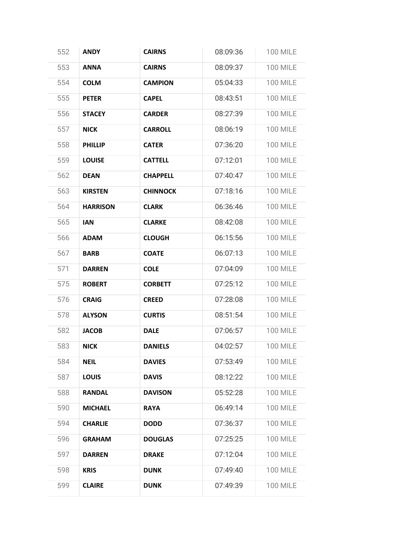| 552 | <b>ANDY</b>     | <b>CAIRNS</b>   | 08:09:36 | <b>100 MILE</b> |
|-----|-----------------|-----------------|----------|-----------------|
| 553 | <b>ANNA</b>     | <b>CAIRNS</b>   | 08:09:37 | <b>100 MILE</b> |
| 554 | <b>COLM</b>     | <b>CAMPION</b>  | 05:04:33 | <b>100 MILE</b> |
| 555 | <b>PETER</b>    | <b>CAPEL</b>    | 08:43:51 | <b>100 MILE</b> |
| 556 | <b>STACEY</b>   | <b>CARDER</b>   | 08:27:39 | <b>100 MILE</b> |
| 557 | <b>NICK</b>     | <b>CARROLL</b>  | 08:06:19 | <b>100 MILE</b> |
| 558 | <b>PHILLIP</b>  | <b>CATER</b>    | 07:36:20 | <b>100 MILE</b> |
| 559 | <b>LOUISE</b>   | <b>CATTELL</b>  | 07:12:01 | <b>100 MILE</b> |
| 562 | <b>DEAN</b>     | <b>CHAPPELL</b> | 07:40:47 | <b>100 MILE</b> |
| 563 | <b>KIRSTEN</b>  | <b>CHINNOCK</b> | 07:18:16 | <b>100 MILE</b> |
| 564 | <b>HARRISON</b> | <b>CLARK</b>    | 06:36:46 | <b>100 MILE</b> |
| 565 | <b>IAN</b>      | <b>CLARKE</b>   | 08:42:08 | <b>100 MILE</b> |
| 566 | <b>ADAM</b>     | <b>CLOUGH</b>   | 06:15:56 | <b>100 MILE</b> |
| 567 | <b>BARB</b>     | <b>COATE</b>    | 06:07:13 | <b>100 MILE</b> |
| 571 | <b>DARREN</b>   | <b>COLE</b>     | 07:04:09 | <b>100 MILE</b> |
| 575 | <b>ROBERT</b>   | <b>CORBETT</b>  | 07:25:12 | <b>100 MILE</b> |
| 576 | <b>CRAIG</b>    | <b>CREED</b>    | 07:28:08 | <b>100 MILE</b> |
| 578 | <b>ALYSON</b>   | <b>CURTIS</b>   | 08:51:54 | <b>100 MILE</b> |
| 582 | <b>JACOB</b>    | <b>DALE</b>     | 07:06:57 | <b>100 MILE</b> |
| 583 | <b>NICK</b>     | <b>DANIELS</b>  | 04:02:57 | <b>100 MILE</b> |
| 584 | <b>NEIL</b>     | <b>DAVIES</b>   | 07:53:49 | <b>100 MILE</b> |
| 587 | <b>LOUIS</b>    | <b>DAVIS</b>    | 08:12:22 | <b>100 MILE</b> |
| 588 | <b>RANDAL</b>   | <b>DAVISON</b>  | 05:52:28 | <b>100 MILE</b> |
| 590 | <b>MICHAEL</b>  | <b>RAYA</b>     | 06:49:14 | <b>100 MILE</b> |
| 594 | <b>CHARLIE</b>  | <b>DODD</b>     | 07:36:37 | <b>100 MILE</b> |
| 596 | <b>GRAHAM</b>   | <b>DOUGLAS</b>  | 07:25:25 | <b>100 MILE</b> |
| 597 | <b>DARREN</b>   | <b>DRAKE</b>    | 07:12:04 | <b>100 MILE</b> |
| 598 | <b>KRIS</b>     | <b>DUNK</b>     | 07:49:40 | <b>100 MILE</b> |
| 599 | <b>CLAIRE</b>   | <b>DUNK</b>     | 07:49:39 | <b>100 MILE</b> |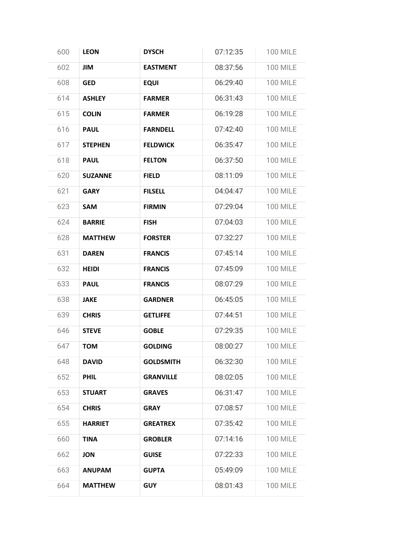| 600 | <b>LEON</b>    | <b>DYSCH</b>     | 07:12:35 | <b>100 MILE</b> |
|-----|----------------|------------------|----------|-----------------|
| 602 | <b>JIM</b>     | <b>EASTMENT</b>  | 08:37:56 | <b>100 MILE</b> |
| 608 | <b>GED</b>     | <b>EQUI</b>      | 06:29:40 | <b>100 MILE</b> |
| 614 | <b>ASHLEY</b>  | <b>FARMER</b>    | 06:31:43 | <b>100 MILE</b> |
| 615 | <b>COLIN</b>   | <b>FARMER</b>    | 06:19:28 | <b>100 MILE</b> |
| 616 | <b>PAUL</b>    | <b>FARNDELL</b>  | 07:42:40 | <b>100 MILE</b> |
| 617 | <b>STEPHEN</b> | <b>FELDWICK</b>  | 06:35:47 | <b>100 MILE</b> |
| 618 | <b>PAUL</b>    | <b>FELTON</b>    | 06:37:50 | <b>100 MILE</b> |
| 620 | <b>SUZANNE</b> | <b>FIELD</b>     | 08:11:09 | <b>100 MILE</b> |
| 621 | <b>GARY</b>    | <b>FILSELL</b>   | 04:04:47 | <b>100 MILE</b> |
| 623 | <b>SAM</b>     | <b>FIRMIN</b>    | 07:29:04 | <b>100 MILE</b> |
| 624 | <b>BARRIE</b>  | <b>FISH</b>      | 07:04:03 | <b>100 MILE</b> |
| 628 | <b>MATTHEW</b> | <b>FORSTER</b>   | 07:32:27 | <b>100 MILE</b> |
| 631 | <b>DAREN</b>   | <b>FRANCIS</b>   | 07:45:14 | <b>100 MILE</b> |
| 632 | <b>HEIDI</b>   | <b>FRANCIS</b>   | 07:45:09 | <b>100 MILE</b> |
| 633 | <b>PAUL</b>    | <b>FRANCIS</b>   | 08:07:29 | <b>100 MILE</b> |
| 638 | <b>JAKE</b>    | <b>GARDNER</b>   | 06:45:05 | <b>100 MILE</b> |
| 639 | <b>CHRIS</b>   | <b>GETLIFFE</b>  | 07:44:51 | <b>100 MILE</b> |
| 646 | <b>STEVE</b>   | <b>GOBLE</b>     | 07:29:35 | <b>100 MILE</b> |
| 647 | <b>TOM</b>     | <b>GOLDING</b>   | 08:00:27 | <b>100 MILE</b> |
| 648 | <b>DAVID</b>   | <b>GOLDSMITH</b> | 06:32:30 | <b>100 MILE</b> |
| 652 | <b>PHIL</b>    | <b>GRANVILLE</b> | 08:02:05 | <b>100 MILE</b> |
| 653 | <b>STUART</b>  | <b>GRAVES</b>    | 06:31:47 | <b>100 MILE</b> |
| 654 | <b>CHRIS</b>   | <b>GRAY</b>      | 07:08:57 | <b>100 MILE</b> |
| 655 | <b>HARRIET</b> | <b>GREATREX</b>  | 07:35:42 | <b>100 MILE</b> |
| 660 | <b>TINA</b>    | <b>GROBLER</b>   | 07:14:16 | <b>100 MILE</b> |
| 662 | <b>JON</b>     | <b>GUISE</b>     | 07:22:33 | <b>100 MILE</b> |
| 663 | <b>ANUPAM</b>  | <b>GUPTA</b>     | 05:49:09 | <b>100 MILE</b> |
| 664 | <b>MATTHEW</b> | <b>GUY</b>       | 08:01:43 | <b>100 MILE</b> |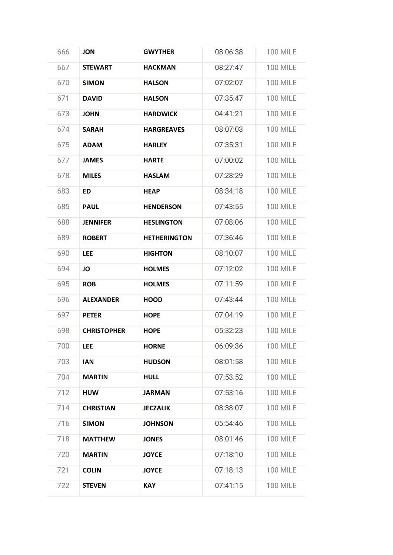| 666 | <b>JON</b>         | <b>GWYTHER</b>      | 08:06:38 | <b>100 MILE</b> |
|-----|--------------------|---------------------|----------|-----------------|
| 667 | <b>STEWART</b>     | <b>HACKMAN</b>      | 08:27:47 | <b>100 MILE</b> |
| 670 | <b>SIMON</b>       | <b>HALSON</b>       | 07:02:07 | <b>100 MILE</b> |
| 671 | <b>DAVID</b>       | <b>HALSON</b>       | 07:35:47 | <b>100 MILE</b> |
| 673 | <b>JOHN</b>        | <b>HARDWICK</b>     | 04:41:21 | <b>100 MILE</b> |
| 674 | <b>SARAH</b>       | <b>HARGREAVES</b>   | 08:07:03 | <b>100 MILE</b> |
| 675 | <b>ADAM</b>        | <b>HARLEY</b>       | 07:35:31 | <b>100 MILE</b> |
| 677 | <b>JAMES</b>       | <b>HARTE</b>        | 07:00:02 | <b>100 MILE</b> |
| 678 | <b>MILES</b>       | <b>HASLAM</b>       | 07:28:29 | <b>100 MILE</b> |
| 683 | <b>ED</b>          | <b>HEAP</b>         | 08:34:18 | <b>100 MILE</b> |
| 685 | <b>PAUL</b>        | <b>HENDERSON</b>    | 07:43:55 | <b>100 MILE</b> |
| 688 | <b>JENNIFER</b>    | <b>HESLINGTON</b>   | 07:08:06 | <b>100 MILE</b> |
| 689 | <b>ROBERT</b>      | <b>HETHERINGTON</b> | 07:36:46 | <b>100 MILE</b> |
| 690 | <b>LEE</b>         | <b>HIGHTON</b>      | 08:10:07 | <b>100 MILE</b> |
| 694 | JO                 | <b>HOLMES</b>       | 07:12:02 | <b>100 MILE</b> |
| 695 | <b>ROB</b>         | <b>HOLMES</b>       | 07:11:59 | <b>100 MILE</b> |
| 696 | <b>ALEXANDER</b>   | <b>HOOD</b>         | 07:43:44 | <b>100 MILE</b> |
| 697 | <b>PETER</b>       | <b>HOPE</b>         | 07:04:19 | <b>100 MILE</b> |
| 698 | <b>CHRISTOPHER</b> | <b>HOPE</b>         | 05:32:23 | <b>100 MILE</b> |
| 700 | <b>LEE</b>         | <b>HORNE</b>        | 06:09:36 | <b>100 MILE</b> |
| 703 | <b>IAN</b>         | <b>HUDSON</b>       | 08:01:58 | <b>100 MILE</b> |
| 704 | <b>MARTIN</b>      | <b>HULL</b>         | 07:53:52 | <b>100 MILE</b> |
| 712 | <b>HUW</b>         | <b>JARMAN</b>       | 07:53:16 | <b>100 MILE</b> |
| 714 | <b>CHRISTIAN</b>   | <b>JECZALIK</b>     | 08:38:07 | <b>100 MILE</b> |
| 716 | <b>SIMON</b>       | <b>JOHNSON</b>      | 05:54:46 | <b>100 MILE</b> |
| 718 | <b>MATTHEW</b>     | <b>JONES</b>        | 08:01:46 | <b>100 MILE</b> |
| 720 | <b>MARTIN</b>      | <b>JOYCE</b>        | 07:18:10 | <b>100 MILE</b> |
| 721 | <b>COLIN</b>       | <b>JOYCE</b>        | 07:18:13 | <b>100 MILE</b> |
| 722 | <b>STEVEN</b>      | <b>KAY</b>          | 07:41:15 | <b>100 MILE</b> |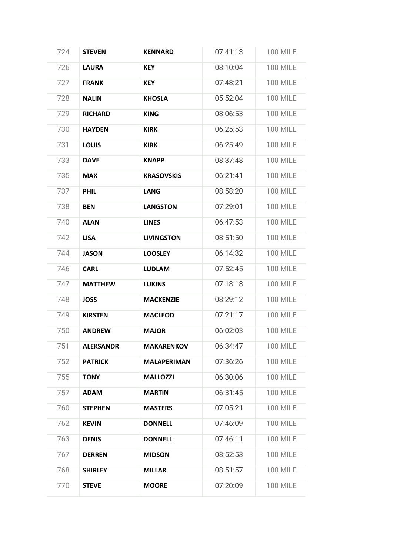| 724 | <b>STEVEN</b>    | <b>KENNARD</b>     | 07:41:13 | <b>100 MILE</b> |
|-----|------------------|--------------------|----------|-----------------|
| 726 | <b>LAURA</b>     | <b>KEY</b>         | 08:10:04 | <b>100 MILE</b> |
| 727 | <b>FRANK</b>     | <b>KEY</b>         | 07:48:21 | <b>100 MILE</b> |
| 728 | <b>NALIN</b>     | <b>KHOSLA</b>      | 05:52:04 | <b>100 MILE</b> |
| 729 | <b>RICHARD</b>   | <b>KING</b>        | 08:06:53 | <b>100 MILE</b> |
| 730 | <b>HAYDEN</b>    | <b>KIRK</b>        | 06:25:53 | <b>100 MILE</b> |
| 731 | <b>LOUIS</b>     | <b>KIRK</b>        | 06:25:49 | <b>100 MILE</b> |
| 733 | <b>DAVE</b>      | <b>KNAPP</b>       | 08:37:48 | <b>100 MILE</b> |
| 735 | <b>MAX</b>       | <b>KRASOVSKIS</b>  | 06:21:41 | <b>100 MILE</b> |
| 737 | <b>PHIL</b>      | <b>LANG</b>        | 08:58:20 | <b>100 MILE</b> |
| 738 | <b>BEN</b>       | <b>LANGSTON</b>    | 07:29:01 | <b>100 MILE</b> |
| 740 | <b>ALAN</b>      | <b>LINES</b>       | 06:47:53 | <b>100 MILE</b> |
| 742 | <b>LISA</b>      | <b>LIVINGSTON</b>  | 08:51:50 | <b>100 MILE</b> |
| 744 | <b>JASON</b>     | <b>LOOSLEY</b>     | 06:14:32 | <b>100 MILE</b> |
| 746 | <b>CARL</b>      | <b>LUDLAM</b>      | 07:52:45 | <b>100 MILE</b> |
| 747 | <b>MATTHEW</b>   | <b>LUKINS</b>      | 07:18:18 | <b>100 MILE</b> |
| 748 | <b>JOSS</b>      | <b>MACKENZIE</b>   | 08:29:12 | <b>100 MILE</b> |
| 749 | <b>KIRSTEN</b>   | <b>MACLEOD</b>     | 07:21:17 | <b>100 MILE</b> |
| 750 | <b>ANDREW</b>    | <b>MAJOR</b>       | 06:02:03 | <b>100 MILE</b> |
| 751 | <b>ALEKSANDR</b> | <b>MAKARENKOV</b>  | 06:34:47 | <b>100 MILE</b> |
| 752 | <b>PATRICK</b>   | <b>MALAPERIMAN</b> | 07:36:26 | <b>100 MILE</b> |
| 755 | <b>TONY</b>      | <b>MALLOZZI</b>    | 06:30:06 | <b>100 MILE</b> |
| 757 | <b>ADAM</b>      | <b>MARTIN</b>      | 06:31:45 | <b>100 MILE</b> |
| 760 | <b>STEPHEN</b>   | <b>MASTERS</b>     | 07:05:21 | <b>100 MILE</b> |
| 762 | <b>KEVIN</b>     | <b>DONNELL</b>     | 07:46:09 | <b>100 MILE</b> |
| 763 | <b>DENIS</b>     | <b>DONNELL</b>     | 07:46:11 | <b>100 MILE</b> |
| 767 | <b>DERREN</b>    | <b>MIDSON</b>      | 08:52:53 | <b>100 MILE</b> |
| 768 | <b>SHIRLEY</b>   | <b>MILLAR</b>      | 08:51:57 | <b>100 MILE</b> |
| 770 | <b>STEVE</b>     | <b>MOORE</b>       | 07:20:09 | <b>100 MILE</b> |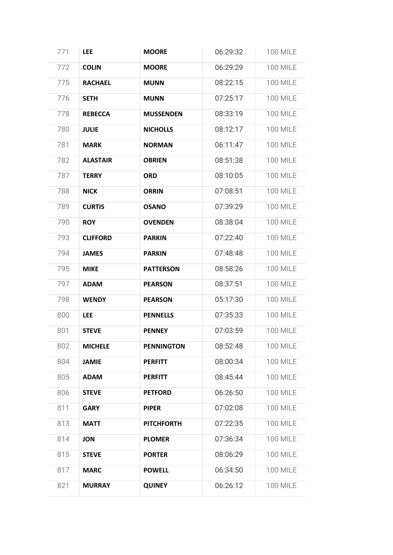| 771 | <b>LEE</b>      | <b>MOORE</b>      | 06:29:32 | <b>100 MILE</b> |
|-----|-----------------|-------------------|----------|-----------------|
| 772 | <b>COLIN</b>    | <b>MOORE</b>      | 06:29:29 | <b>100 MILE</b> |
| 775 | <b>RACHAEL</b>  | <b>MUNN</b>       | 08:22:15 | <b>100 MILE</b> |
| 776 | <b>SETH</b>     | <b>MUNN</b>       | 07:25:17 | <b>100 MILE</b> |
| 778 | <b>REBECCA</b>  | <b>MUSSENDEN</b>  | 08:33:19 | <b>100 MILE</b> |
| 780 | <b>JULIE</b>    | <b>NICHOLLS</b>   | 08:12:17 | <b>100 MILE</b> |
| 781 | <b>MARK</b>     | <b>NORMAN</b>     | 06:11:47 | <b>100 MILE</b> |
| 782 | <b>ALASTAIR</b> | <b>OBRIEN</b>     | 08:51:38 | <b>100 MILE</b> |
| 787 | <b>TERRY</b>    | <b>ORD</b>        | 08:10:05 | <b>100 MILE</b> |
| 788 | <b>NICK</b>     | <b>ORRIN</b>      | 07:08:51 | <b>100 MILE</b> |
| 789 | <b>CURTIS</b>   | <b>OSANO</b>      | 07:39:29 | <b>100 MILE</b> |
| 790 | <b>ROY</b>      | <b>OVENDEN</b>    | 08:38:04 | <b>100 MILE</b> |
| 793 | <b>CLIFFORD</b> | <b>PARKIN</b>     | 07:22:40 | <b>100 MILE</b> |
| 794 | <b>JAMES</b>    | <b>PARKIN</b>     | 07:48:48 | <b>100 MILE</b> |
| 795 | <b>MIKE</b>     | <b>PATTERSON</b>  | 08:58:26 | <b>100 MILE</b> |
| 797 | <b>ADAM</b>     | <b>PEARSON</b>    | 08:37:51 | <b>100 MILE</b> |
| 798 | <b>WENDY</b>    | <b>PEARSON</b>    | 05:17:30 | <b>100 MILE</b> |
| 800 | <b>LEE</b>      | <b>PENNELLS</b>   | 07:35:33 | <b>100 MILE</b> |
| 801 | <b>STEVE</b>    | <b>PENNEY</b>     | 07:03:59 | <b>100 MILE</b> |
| 802 | <b>MICHELE</b>  | <b>PENNINGTON</b> | 08:52:48 | <b>100 MILE</b> |
| 804 | <b>JAMIE</b>    | <b>PERFITT</b>    | 08:00:34 | <b>100 MILE</b> |
| 805 | <b>ADAM</b>     | <b>PERFITT</b>    | 08:45:44 | <b>100 MILE</b> |
| 806 | <b>STEVE</b>    | <b>PETFORD</b>    | 06:26:50 | <b>100 MILE</b> |
| 811 | <b>GARY</b>     | <b>PIPER</b>      | 07:02:08 | <b>100 MILE</b> |
| 813 | <b>MATT</b>     | <b>PITCHFORTH</b> | 07:22:35 | <b>100 MILE</b> |
| 814 | <b>JON</b>      | <b>PLOMER</b>     | 07:36:34 | <b>100 MILE</b> |
| 815 | <b>STEVE</b>    | <b>PORTER</b>     | 08:06:29 | <b>100 MILE</b> |
| 817 | <b>MARC</b>     | <b>POWELL</b>     | 06:34:50 | <b>100 MILE</b> |
| 821 | <b>MURRAY</b>   | <b>QUINEY</b>     | 06:26:12 | <b>100 MILE</b> |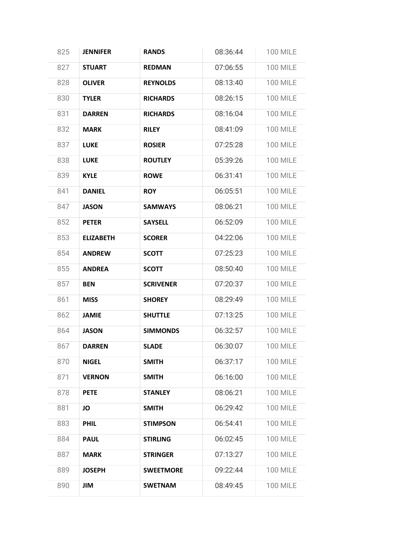| 825 | <b>JENNIFER</b>  | <b>RANDS</b>     | 08:36:44 | <b>100 MILE</b> |
|-----|------------------|------------------|----------|-----------------|
| 827 | <b>STUART</b>    | <b>REDMAN</b>    | 07:06:55 | <b>100 MILE</b> |
| 828 | <b>OLIVER</b>    | <b>REYNOLDS</b>  | 08:13:40 | <b>100 MILE</b> |
| 830 | <b>TYLER</b>     | <b>RICHARDS</b>  | 08:26:15 | <b>100 MILE</b> |
| 831 | <b>DARREN</b>    | <b>RICHARDS</b>  | 08:16:04 | <b>100 MILE</b> |
| 832 | <b>MARK</b>      | <b>RILEY</b>     | 08:41:09 | <b>100 MILE</b> |
| 837 | <b>LUKE</b>      | <b>ROSIER</b>    | 07:25:28 | <b>100 MILE</b> |
| 838 | <b>LUKE</b>      | <b>ROUTLEY</b>   | 05:39:26 | <b>100 MILE</b> |
| 839 | <b>KYLE</b>      | <b>ROWE</b>      | 06:31:41 | <b>100 MILE</b> |
| 841 | <b>DANIEL</b>    | <b>ROY</b>       | 06:05:51 | <b>100 MILE</b> |
| 847 | <b>JASON</b>     | <b>SAMWAYS</b>   | 08:06:21 | <b>100 MILE</b> |
| 852 | <b>PETER</b>     | <b>SAYSELL</b>   | 06:52:09 | <b>100 MILE</b> |
| 853 | <b>ELIZABETH</b> | <b>SCORER</b>    | 04:22:06 | <b>100 MILE</b> |
| 854 | <b>ANDREW</b>    | <b>SCOTT</b>     | 07:25:23 | <b>100 MILE</b> |
| 855 | <b>ANDREA</b>    | <b>SCOTT</b>     | 08:50:40 | <b>100 MILE</b> |
| 857 | <b>BEN</b>       | <b>SCRIVENER</b> | 07:20:37 | <b>100 MILE</b> |
| 861 | <b>MISS</b>      | <b>SHOREY</b>    | 08:29:49 | <b>100 MILE</b> |
| 862 | <b>JAMIE</b>     | <b>SHUTTLE</b>   | 07:13:25 | <b>100 MILE</b> |
| 864 | <b>JASON</b>     | <b>SIMMONDS</b>  | 06:32:57 | <b>100 MILE</b> |
| 867 | <b>DARREN</b>    | <b>SLADE</b>     | 06:30:07 | <b>100 MILE</b> |
| 870 | <b>NIGEL</b>     | <b>SMITH</b>     | 06:37:17 | <b>100 MILE</b> |
| 871 | <b>VERNON</b>    | <b>SMITH</b>     | 06:16:00 | <b>100 MILE</b> |
| 878 | <b>PETE</b>      | <b>STANLEY</b>   | 08:06:21 | <b>100 MILE</b> |
| 881 | JO               | <b>SMITH</b>     | 06:29:42 | <b>100 MILE</b> |
| 883 | <b>PHIL</b>      | <b>STIMPSON</b>  | 06:54:41 | <b>100 MILE</b> |
| 884 | <b>PAUL</b>      | <b>STIRLING</b>  | 06:02:45 | <b>100 MILE</b> |
| 887 | <b>MARK</b>      | <b>STRINGER</b>  | 07:13:27 | <b>100 MILE</b> |
| 889 | <b>JOSEPH</b>    | <b>SWEETMORE</b> | 09:22:44 | <b>100 MILE</b> |
| 890 | JIM              | <b>SWETNAM</b>   | 08:49:45 | <b>100 MILE</b> |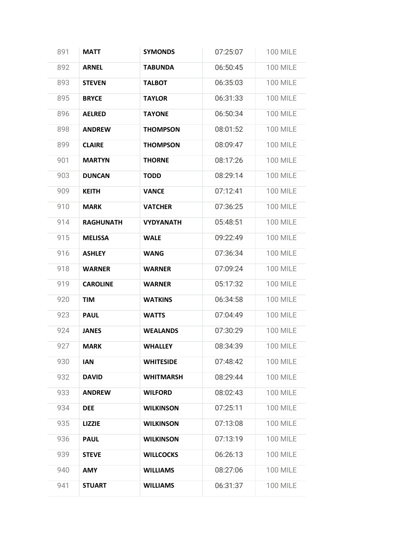| 891 | <b>MATT</b>      | <b>SYMONDS</b>   | 07:25:07 | <b>100 MILE</b> |
|-----|------------------|------------------|----------|-----------------|
| 892 | <b>ARNEL</b>     | <b>TABUNDA</b>   | 06:50:45 | <b>100 MILE</b> |
| 893 | <b>STEVEN</b>    | <b>TALBOT</b>    | 06:35:03 | <b>100 MILE</b> |
| 895 | <b>BRYCE</b>     | <b>TAYLOR</b>    | 06:31:33 | <b>100 MILE</b> |
| 896 | <b>AELRED</b>    | <b>TAYONE</b>    | 06:50:34 | <b>100 MILE</b> |
| 898 | <b>ANDREW</b>    | <b>THOMPSON</b>  | 08:01:52 | <b>100 MILE</b> |
| 899 | <b>CLAIRE</b>    | <b>THOMPSON</b>  | 08:09:47 | <b>100 MILE</b> |
| 901 | <b>MARTYN</b>    | <b>THORNE</b>    | 08:17:26 | <b>100 MILE</b> |
| 903 | <b>DUNCAN</b>    | <b>TODD</b>      | 08:29:14 | <b>100 MILE</b> |
| 909 | <b>KEITH</b>     | <b>VANCE</b>     | 07:12:41 | <b>100 MILE</b> |
| 910 | <b>MARK</b>      | <b>VATCHER</b>   | 07:36:25 | <b>100 MILE</b> |
| 914 | <b>RAGHUNATH</b> | <b>VYDYANATH</b> | 05:48:51 | <b>100 MILE</b> |
| 915 | <b>MELISSA</b>   | <b>WALE</b>      | 09:22:49 | <b>100 MILE</b> |
| 916 | <b>ASHLEY</b>    | <b>WANG</b>      | 07:36:34 | <b>100 MILE</b> |
| 918 | <b>WARNER</b>    | <b>WARNER</b>    | 07:09:24 | <b>100 MILE</b> |
| 919 | <b>CAROLINE</b>  | <b>WARNER</b>    | 05:17:32 | <b>100 MILE</b> |
| 920 | <b>TIM</b>       | <b>WATKINS</b>   | 06:34:58 | <b>100 MILE</b> |
| 923 | <b>PAUL</b>      | <b>WATTS</b>     | 07:04:49 | <b>100 MILE</b> |
| 924 | <b>JANES</b>     | <b>WEALANDS</b>  | 07:30:29 | <b>100 MILE</b> |
| 927 | <b>MARK</b>      | <b>WHALLEY</b>   | 08:34:39 | <b>100 MILE</b> |
| 930 | <b>IAN</b>       | <b>WHITESIDE</b> | 07:48:42 | <b>100 MILE</b> |
| 932 | <b>DAVID</b>     | <b>WHITMARSH</b> | 08:29:44 | <b>100 MILE</b> |
| 933 | <b>ANDREW</b>    | <b>WILFORD</b>   | 08:02:43 | <b>100 MILE</b> |
| 934 | <b>DEE</b>       | <b>WILKINSON</b> | 07:25:11 | <b>100 MILE</b> |
| 935 | <b>LIZZIE</b>    | <b>WILKINSON</b> | 07:13:08 | <b>100 MILE</b> |
| 936 | <b>PAUL</b>      | <b>WILKINSON</b> | 07:13:19 | <b>100 MILE</b> |
| 939 | <b>STEVE</b>     | <b>WILLCOCKS</b> | 06:26:13 | <b>100 MILE</b> |
| 940 | <b>AMY</b>       | <b>WILLIAMS</b>  | 08:27:06 | <b>100 MILE</b> |
| 941 | <b>STUART</b>    | <b>WILLIAMS</b>  | 06:31:37 | <b>100 MILE</b> |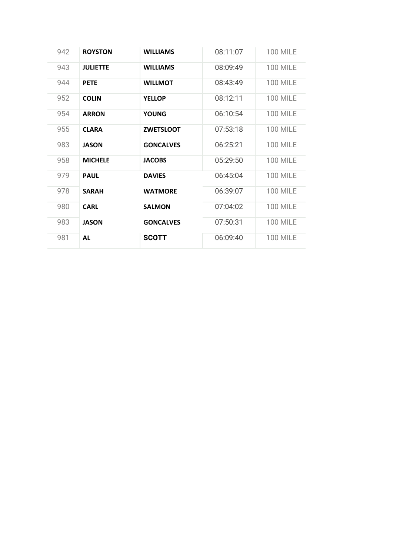| 942 | <b>ROYSTON</b>  | <b>WILLIAMS</b>  | 08:11:07 | <b>100 MILE</b> |
|-----|-----------------|------------------|----------|-----------------|
| 943 | <b>JULIETTE</b> | <b>WILLIAMS</b>  | 08:09:49 | <b>100 MILE</b> |
| 944 | <b>PETE</b>     | <b>WILLMOT</b>   | 08:43:49 | <b>100 MILE</b> |
| 952 | <b>COLIN</b>    | <b>YELLOP</b>    | 08:12:11 | <b>100 MILE</b> |
| 954 | <b>ARRON</b>    | <b>YOUNG</b>     | 06:10:54 | <b>100 MILE</b> |
| 955 | <b>CLARA</b>    | <b>ZWETSLOOT</b> | 07:53:18 | <b>100 MILE</b> |
| 983 | <b>JASON</b>    | <b>GONCALVES</b> | 06:25:21 | <b>100 MILE</b> |
| 958 | <b>MICHELE</b>  | <b>JACOBS</b>    | 05:29:50 | <b>100 MILE</b> |
| 979 | <b>PAUL</b>     | <b>DAVIES</b>    | 06:45:04 | <b>100 MILE</b> |
| 978 | <b>SARAH</b>    | <b>WATMORE</b>   | 06:39:07 | <b>100 MILE</b> |
| 980 | <b>CARL</b>     | <b>SALMON</b>    | 07:04:02 | <b>100 MILE</b> |
| 983 | <b>JASON</b>    | <b>GONCALVES</b> | 07:50:31 | <b>100 MILE</b> |
| 981 | <b>AL</b>       | <b>SCOTT</b>     | 06:09:40 | <b>100 MILE</b> |